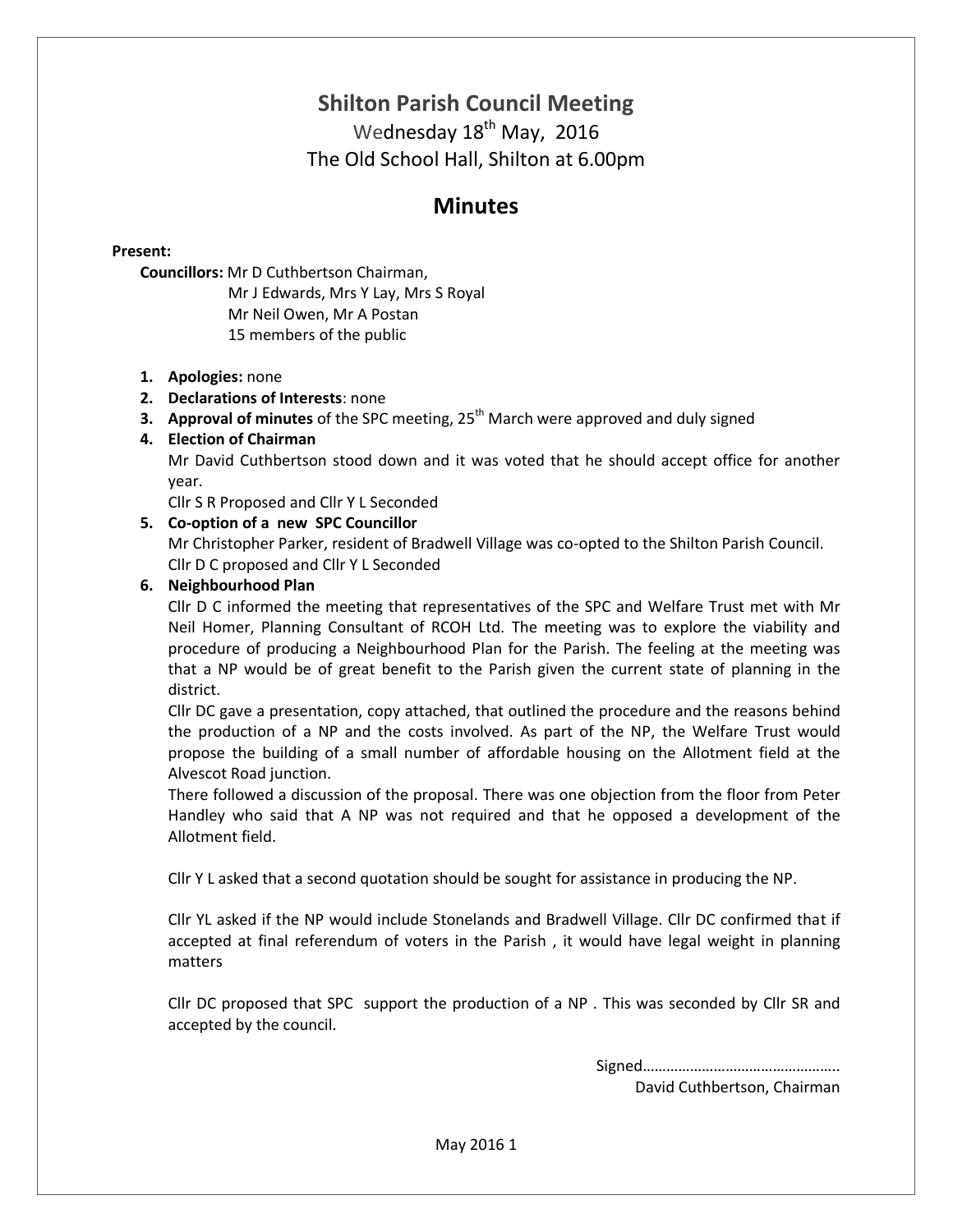# **Shilton Parish Council Meeting**

Wednesday 18<sup>th</sup> May, 2016 The Old School Hall, Shilton at 6.00pm

# **Minutes**

# **Present:**

**Councillors:** Mr D Cuthbertson Chairman,

Mr J Edwards, Mrs Y Lay, Mrs S Royal Mr Neil Owen, Mr A Postan 15 members of the public

# **1. Apologies:** none

- **2. Declarations of Interests**: none
- **3. Approval of minutes** of the SPC meeting, 25<sup>th</sup> March were approved and duly signed

# **4. Election of Chairman**

Mr David Cuthbertson stood down and it was voted that he should accept office for another year.

Cllr S R Proposed and Cllr Y L Seconded

# **5. Co-option of a new SPC Councillor**

Mr Christopher Parker, resident of Bradwell Village was co-opted to the Shilton Parish Council. Cllr D C proposed and Cllr Y L Seconded

# **6. Neighbourhood Plan**

Cllr D C informed the meeting that representatives of the SPC and Welfare Trust met with Mr Neil Homer, Planning Consultant of RCOH Ltd. The meeting was to explore the viability and procedure of producing a Neighbourhood Plan for the Parish. The feeling at the meeting was that a NP would be of great benefit to the Parish given the current state of planning in the district.

Cllr DC gave a presentation, copy attached, that outlined the procedure and the reasons behind the production of a NP and the costs involved. As part of the NP, the Welfare Trust would propose the building of a small number of affordable housing on the Allotment field at the Alvescot Road junction.

There followed a discussion of the proposal. There was one objection from the floor from Peter Handley who said that A NP was not required and that he opposed a development of the Allotment field.

Cllr Y L asked that a second quotation should be sought for assistance in producing the NP.

Cllr YL asked if the NP would include Stonelands and Bradwell Village. Cllr DC confirmed that if accepted at final referendum of voters in the Parish , it would have legal weight in planning matters

Cllr DC proposed that SPC support the production of a NP . This was seconded by Cllr SR and accepted by the council.

Signed…………………………………………..

David Cuthbertson, Chairman